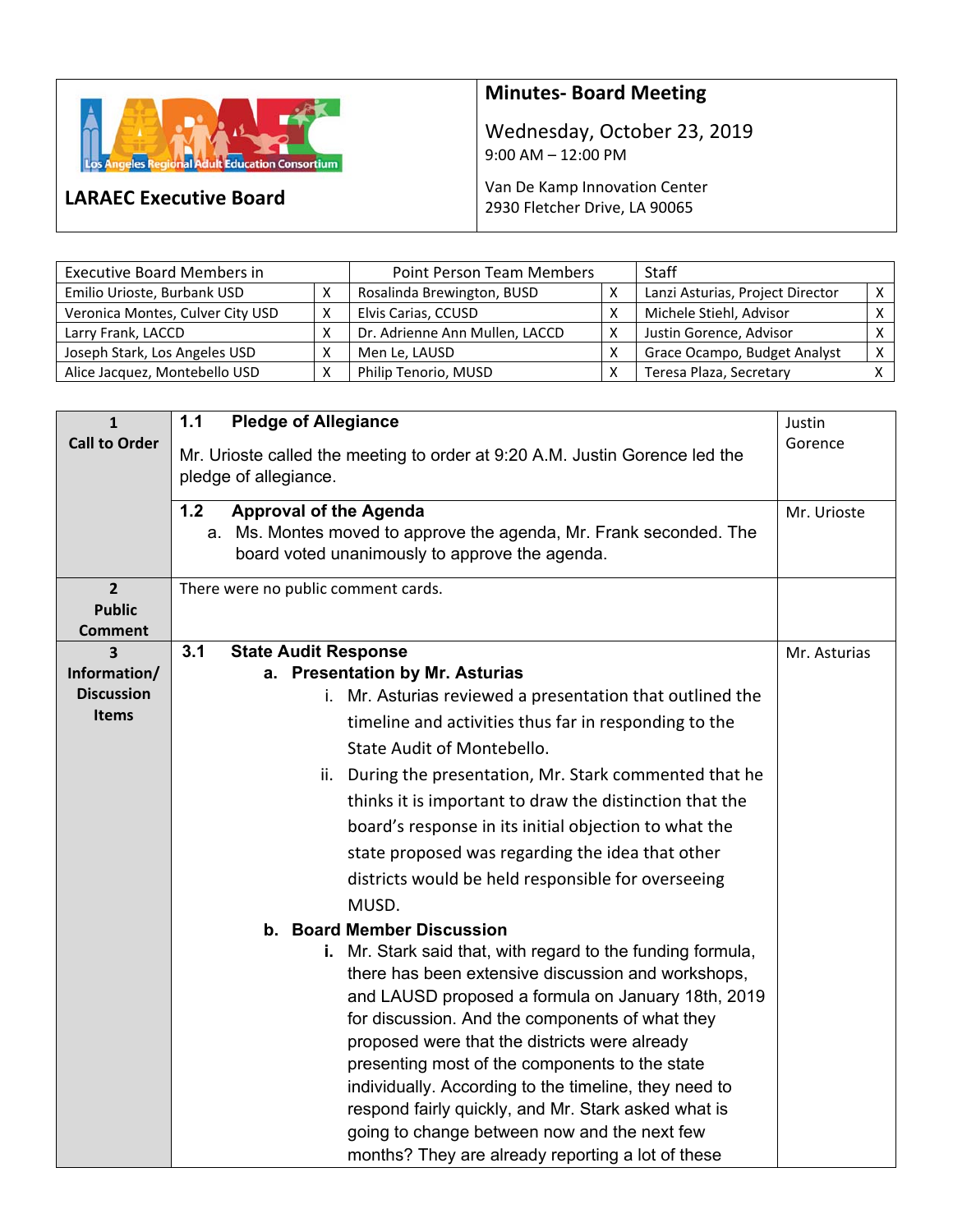

**LARAEC Executive Board** 

## **Minutes‐ Board Meeting**

Wednesday, October 23, 2019 9:00 AM – 12:00 PM

Van De Kamp Innovation Center 2930 Fletcher Drive, LA 90065

| <b>Executive Board Members in</b> | Point Person Team Members |                                | <b>Staff</b> |                                  |              |
|-----------------------------------|---------------------------|--------------------------------|--------------|----------------------------------|--------------|
| Emilio Urioste, Burbank USD       |                           | Rosalinda Brewington, BUSD     |              | Lanzi Asturias, Project Director |              |
| Veronica Montes, Culver City USD  | v                         | Elvis Carias, CCUSD            |              | Michele Stiehl, Advisor          |              |
| Larry Frank, LACCD                |                           | Dr. Adrienne Ann Mullen, LACCD |              | Justin Gorence, Advisor          |              |
| Joseph Stark, Los Angeles USD     |                           | Men Le, LAUSD                  |              | Grace Ocampo, Budget Analyst     | $\mathsf{v}$ |
| Alice Jacquez, Montebello USD     |                           | Philip Tenorio, MUSD           |              | Teresa Plaza, Secretary          |              |

| $\mathbf{1}$         | <b>Pledge of Allegiance</b><br>$1.1$                                        | Justin       |  |  |  |  |
|----------------------|-----------------------------------------------------------------------------|--------------|--|--|--|--|
| <b>Call to Order</b> |                                                                             |              |  |  |  |  |
|                      | Mr. Urioste called the meeting to order at 9:20 A.M. Justin Gorence led the | Gorence      |  |  |  |  |
|                      | pledge of allegiance.                                                       |              |  |  |  |  |
|                      | 1.2<br><b>Approval of the Agenda</b>                                        | Mr. Urioste  |  |  |  |  |
|                      | a. Ms. Montes moved to approve the agenda, Mr. Frank seconded. The          |              |  |  |  |  |
|                      | board voted unanimously to approve the agenda.                              |              |  |  |  |  |
| $\overline{2}$       | There were no public comment cards.                                         |              |  |  |  |  |
| <b>Public</b>        |                                                                             |              |  |  |  |  |
| <b>Comment</b>       |                                                                             |              |  |  |  |  |
| 3                    | 3.1<br><b>State Audit Response</b>                                          | Mr. Asturias |  |  |  |  |
| Information/         | a. Presentation by Mr. Asturias                                             |              |  |  |  |  |
| <b>Discussion</b>    | Mr. Asturias reviewed a presentation that outlined the<br>i.                |              |  |  |  |  |
| <b>Items</b>         | timeline and activities thus far in responding to the                       |              |  |  |  |  |
|                      | State Audit of Montebello.                                                  |              |  |  |  |  |
|                      | During the presentation, Mr. Stark commented that he<br>ii.                 |              |  |  |  |  |
|                      | thinks it is important to draw the distinction that the                     |              |  |  |  |  |
|                      | board's response in its initial objection to what the                       |              |  |  |  |  |
|                      |                                                                             |              |  |  |  |  |
|                      | state proposed was regarding the idea that other                            |              |  |  |  |  |
|                      | districts would be held responsible for overseeing                          |              |  |  |  |  |
|                      | MUSD.                                                                       |              |  |  |  |  |
|                      | b. Board Member Discussion                                                  |              |  |  |  |  |
|                      | i. Mr. Stark said that, with regard to the funding formula,                 |              |  |  |  |  |
|                      | there has been extensive discussion and workshops,                          |              |  |  |  |  |
|                      | and LAUSD proposed a formula on January 18th, 2019                          |              |  |  |  |  |
|                      | for discussion. And the components of what they                             |              |  |  |  |  |
|                      | proposed were that the districts were already                               |              |  |  |  |  |
|                      | presenting most of the components to the state                              |              |  |  |  |  |
|                      | individually. According to the timeline, they need to                       |              |  |  |  |  |
|                      | respond fairly quickly, and Mr. Stark asked what is                         |              |  |  |  |  |
|                      | going to change between now and the next few                                |              |  |  |  |  |
|                      | months? They are already reporting a lot of these                           |              |  |  |  |  |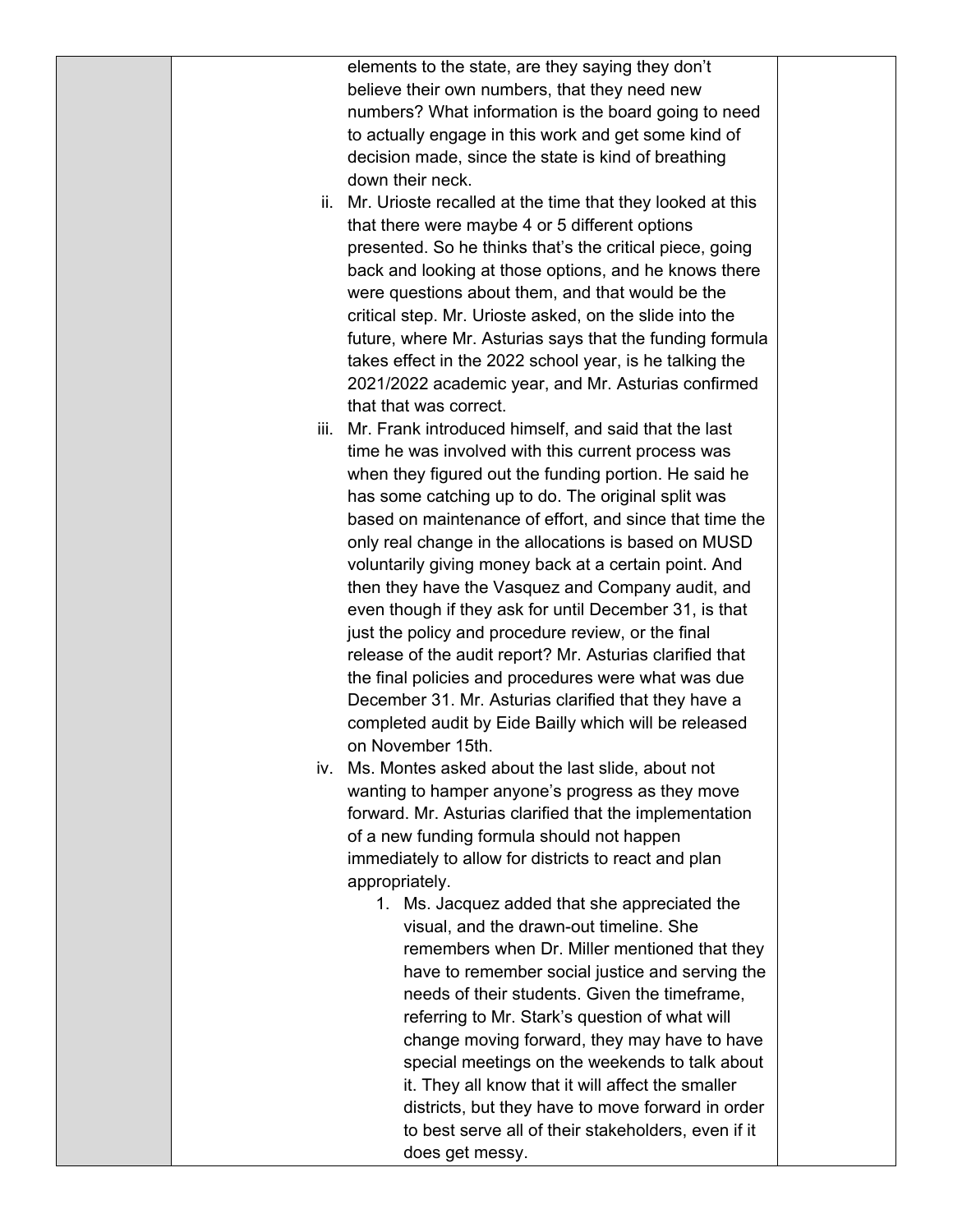elements to the state, are they saying they don't believe their own numbers, that they need new numbers? What information is the board going to need to actually engage in this work and get some kind of decision made, since the state is kind of breathing down their neck.

- ii. Mr. Urioste recalled at the time that they looked at this that there were maybe 4 or 5 different options presented. So he thinks that's the critical piece, going back and looking at those options, and he knows there were questions about them, and that would be the critical step. Mr. Urioste asked, on the slide into the future, where Mr. Asturias says that the funding formula takes effect in the 2022 school year, is he talking the 2021/2022 academic year, and Mr. Asturias confirmed that that was correct.
- iii. Mr. Frank introduced himself, and said that the last time he was involved with this current process was when they figured out the funding portion. He said he has some catching up to do. The original split was based on maintenance of effort, and since that time the only real change in the allocations is based on MUSD voluntarily giving money back at a certain point. And then they have the Vasquez and Company audit, and even though if they ask for until December 31, is that just the policy and procedure review, or the final release of the audit report? Mr. Asturias clarified that the final policies and procedures were what was due December 31. Mr. Asturias clarified that they have a completed audit by Eide Bailly which will be released on November 15th.
- iv. Ms. Montes asked about the last slide, about not wanting to hamper anyone's progress as they move forward. Mr. Asturias clarified that the implementation of a new funding formula should not happen immediately to allow for districts to react and plan appropriately.
	- 1. Ms. Jacquez added that she appreciated the visual, and the drawn-out timeline. She remembers when Dr. Miller mentioned that they have to remember social justice and serving the needs of their students. Given the timeframe, referring to Mr. Stark's question of what will change moving forward, they may have to have special meetings on the weekends to talk about it. They all know that it will affect the smaller districts, but they have to move forward in order to best serve all of their stakeholders, even if it does get messy.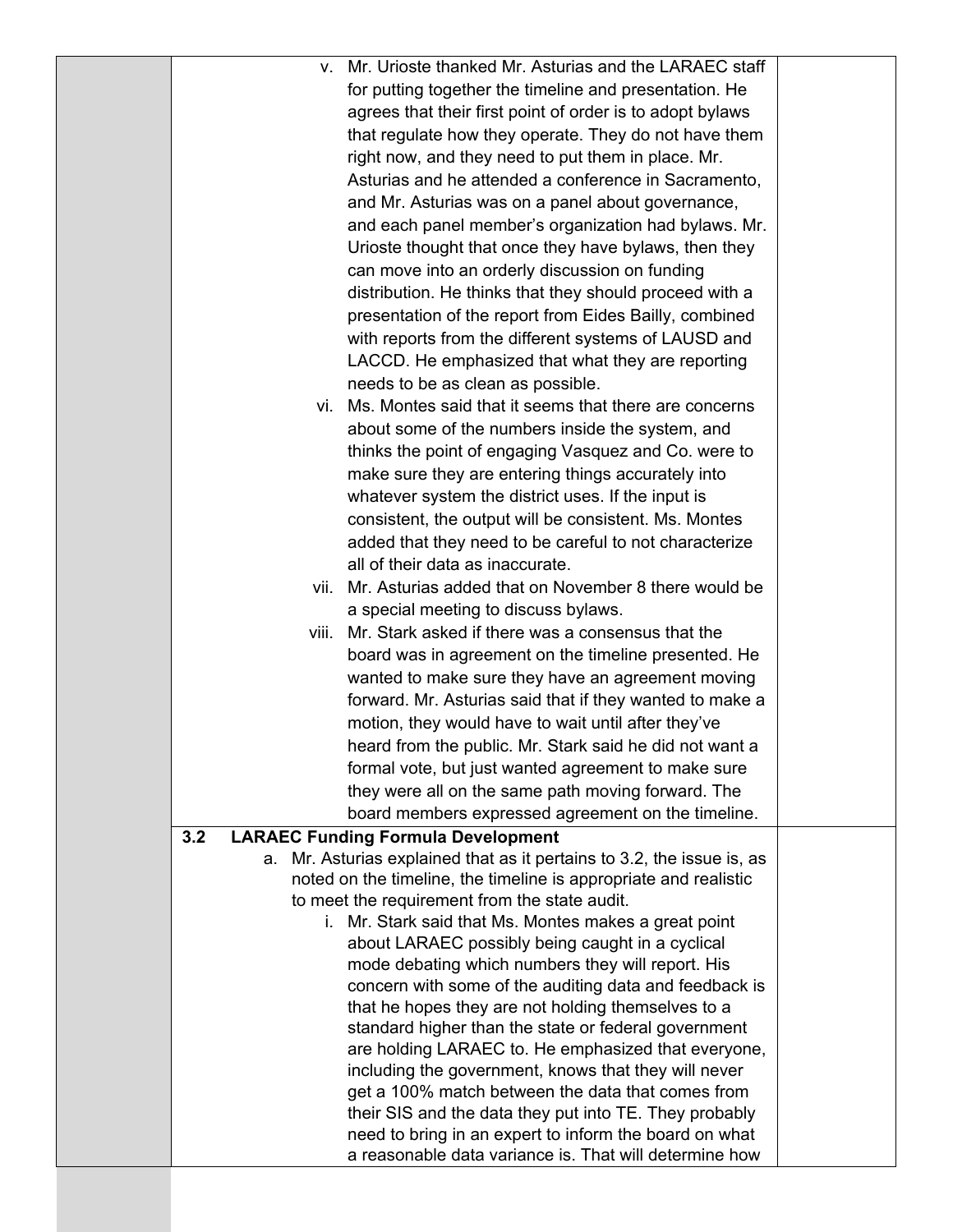| v. Mr. Urioste thanked Mr. Asturias and the LARAEC staff                                                   |  |
|------------------------------------------------------------------------------------------------------------|--|
| for putting together the timeline and presentation. He                                                     |  |
| agrees that their first point of order is to adopt bylaws                                                  |  |
| that regulate how they operate. They do not have them                                                      |  |
| right now, and they need to put them in place. Mr.                                                         |  |
| Asturias and he attended a conference in Sacramento,                                                       |  |
| and Mr. Asturias was on a panel about governance,                                                          |  |
| and each panel member's organization had bylaws. Mr.                                                       |  |
| Urioste thought that once they have bylaws, then they                                                      |  |
| can move into an orderly discussion on funding                                                             |  |
| distribution. He thinks that they should proceed with a                                                    |  |
| presentation of the report from Eides Bailly, combined                                                     |  |
| with reports from the different systems of LAUSD and                                                       |  |
| LACCD. He emphasized that what they are reporting                                                          |  |
| needs to be as clean as possible.                                                                          |  |
| vi. Ms. Montes said that it seems that there are concerns                                                  |  |
| about some of the numbers inside the system, and                                                           |  |
| thinks the point of engaging Vasquez and Co. were to                                                       |  |
| make sure they are entering things accurately into                                                         |  |
| whatever system the district uses. If the input is                                                         |  |
| consistent, the output will be consistent. Ms. Montes                                                      |  |
| added that they need to be careful to not characterize                                                     |  |
| all of their data as inaccurate.                                                                           |  |
| vii. Mr. Asturias added that on November 8 there would be                                                  |  |
| a special meeting to discuss bylaws.                                                                       |  |
| Mr. Stark asked if there was a consensus that the<br>Viii.                                                 |  |
| board was in agreement on the timeline presented. He                                                       |  |
| wanted to make sure they have an agreement moving                                                          |  |
| forward. Mr. Asturias said that if they wanted to make a                                                   |  |
| motion, they would have to wait until after they've                                                        |  |
| heard from the public. Mr. Stark said he did not want a                                                    |  |
| formal vote, but just wanted agreement to make sure                                                        |  |
| they were all on the same path moving forward. The                                                         |  |
| board members expressed agreement on the timeline.                                                         |  |
| 3.2<br><b>LARAEC Funding Formula Development</b>                                                           |  |
| a. Mr. Asturias explained that as it pertains to 3.2, the issue is, as                                     |  |
| noted on the timeline, the timeline is appropriate and realistic                                           |  |
| to meet the requirement from the state audit.                                                              |  |
| i. Mr. Stark said that Ms. Montes makes a great point                                                      |  |
| about LARAEC possibly being caught in a cyclical                                                           |  |
| mode debating which numbers they will report. His                                                          |  |
| concern with some of the auditing data and feedback is                                                     |  |
| that he hopes they are not holding themselves to a<br>standard higher than the state or federal government |  |
| are holding LARAEC to. He emphasized that everyone,                                                        |  |
| including the government, knows that they will never                                                       |  |
| get a 100% match between the data that comes from                                                          |  |
| their SIS and the data they put into TE. They probably                                                     |  |
| need to bring in an expert to inform the board on what                                                     |  |
| a reasonable data variance is. That will determine how                                                     |  |
|                                                                                                            |  |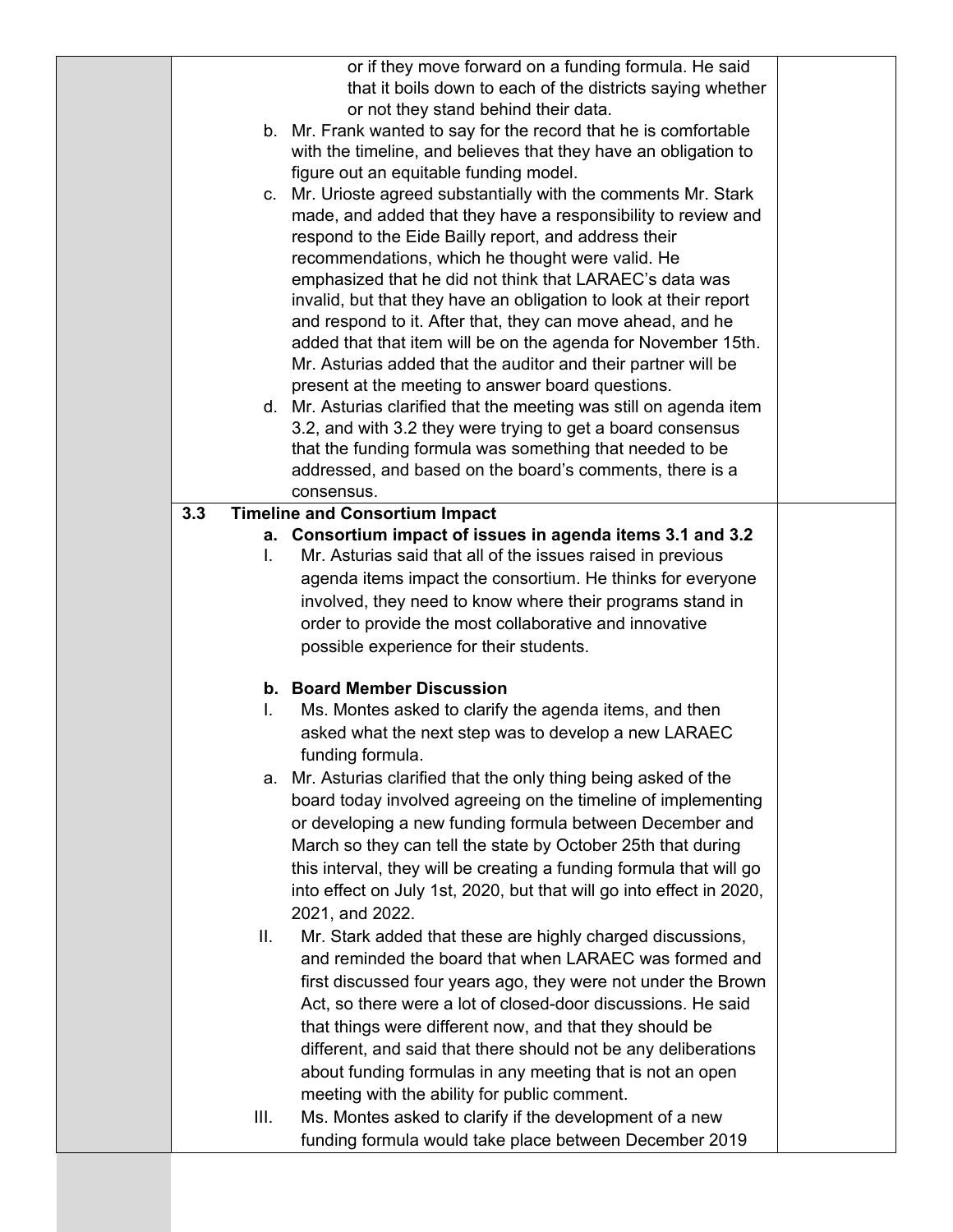|      | or if they move forward on a funding formula. He said<br>that it boils down to each of the districts saying whether      |  |
|------|--------------------------------------------------------------------------------------------------------------------------|--|
|      | or not they stand behind their data.                                                                                     |  |
|      | b. Mr. Frank wanted to say for the record that he is comfortable                                                         |  |
|      | with the timeline, and believes that they have an obligation to                                                          |  |
|      | figure out an equitable funding model.                                                                                   |  |
|      | c. Mr. Urioste agreed substantially with the comments Mr. Stark                                                          |  |
|      | made, and added that they have a responsibility to review and                                                            |  |
|      | respond to the Eide Bailly report, and address their                                                                     |  |
|      | recommendations, which he thought were valid. He                                                                         |  |
|      | emphasized that he did not think that LARAEC's data was                                                                  |  |
|      | invalid, but that they have an obligation to look at their report                                                        |  |
|      | and respond to it. After that, they can move ahead, and he                                                               |  |
|      | added that that item will be on the agenda for November 15th.                                                            |  |
|      | Mr. Asturias added that the auditor and their partner will be                                                            |  |
|      | present at the meeting to answer board questions.<br>d. Mr. Asturias clarified that the meeting was still on agenda item |  |
|      | 3.2, and with 3.2 they were trying to get a board consensus                                                              |  |
|      | that the funding formula was something that needed to be                                                                 |  |
|      | addressed, and based on the board's comments, there is a                                                                 |  |
|      | consensus.                                                                                                               |  |
| 3.3  | <b>Timeline and Consortium Impact</b>                                                                                    |  |
|      | a. Consortium impact of issues in agenda items 3.1 and 3.2                                                               |  |
| L.   | Mr. Asturias said that all of the issues raised in previous                                                              |  |
|      | agenda items impact the consortium. He thinks for everyone                                                               |  |
|      | involved, they need to know where their programs stand in                                                                |  |
|      | order to provide the most collaborative and innovative                                                                   |  |
|      | possible experience for their students.                                                                                  |  |
|      | b. Board Member Discussion                                                                                               |  |
| L.   | Ms. Montes asked to clarify the agenda items, and then                                                                   |  |
|      | asked what the next step was to develop a new LARAEC                                                                     |  |
|      | funding formula.                                                                                                         |  |
|      | a. Mr. Asturias clarified that the only thing being asked of the                                                         |  |
|      | board today involved agreeing on the timeline of implementing                                                            |  |
|      | or developing a new funding formula between December and                                                                 |  |
|      | March so they can tell the state by October 25th that during                                                             |  |
|      | this interval, they will be creating a funding formula that will go                                                      |  |
|      | into effect on July 1st, 2020, but that will go into effect in 2020,                                                     |  |
|      | 2021, and 2022.                                                                                                          |  |
| Ш.   | Mr. Stark added that these are highly charged discussions,                                                               |  |
|      | and reminded the board that when LARAEC was formed and                                                                   |  |
|      | first discussed four years ago, they were not under the Brown                                                            |  |
|      | Act, so there were a lot of closed-door discussions. He said                                                             |  |
|      | that things were different now, and that they should be                                                                  |  |
|      | different, and said that there should not be any deliberations                                                           |  |
|      | about funding formulas in any meeting that is not an open                                                                |  |
| III. | meeting with the ability for public comment.<br>Ms. Montes asked to clarify if the development of a new                  |  |
|      | funding formula would take place between December 2019                                                                   |  |
|      |                                                                                                                          |  |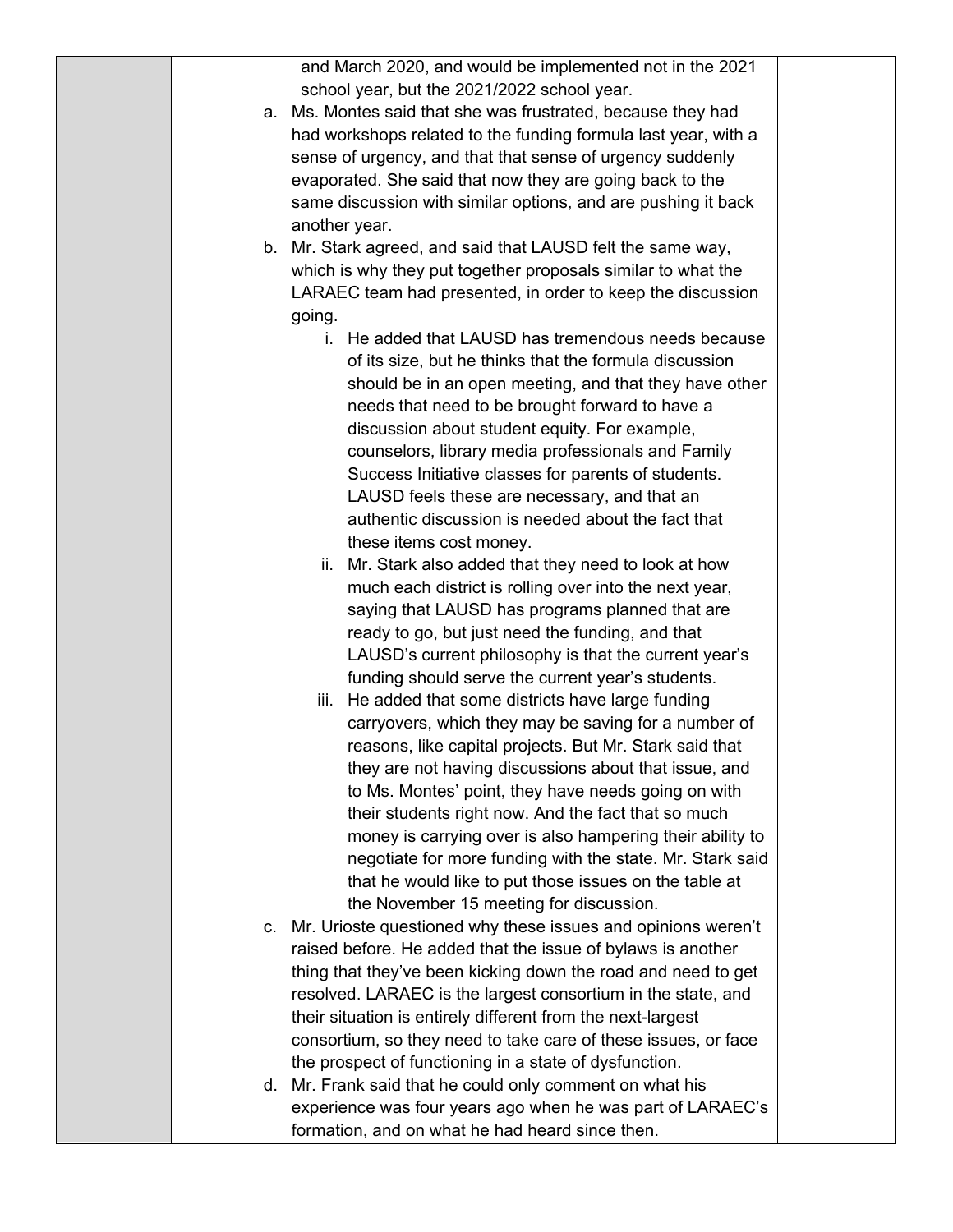and March 2020, and would be implemented not in the 2021 school year, but the 2021/2022 school year.

- a. Ms. Montes said that she was frustrated, because they had had workshops related to the funding formula last year, with a sense of urgency, and that that sense of urgency suddenly evaporated. She said that now they are going back to the same discussion with similar options, and are pushing it back another year.
- b. Mr. Stark agreed, and said that LAUSD felt the same way, which is why they put together proposals similar to what the LARAEC team had presented, in order to keep the discussion going.
	- i. He added that LAUSD has tremendous needs because of its size, but he thinks that the formula discussion should be in an open meeting, and that they have other needs that need to be brought forward to have a discussion about student equity. For example, counselors, library media professionals and Family Success Initiative classes for parents of students. LAUSD feels these are necessary, and that an authentic discussion is needed about the fact that these items cost money.
	- ii. Mr. Stark also added that they need to look at how much each district is rolling over into the next year, saying that LAUSD has programs planned that are ready to go, but just need the funding, and that LAUSD's current philosophy is that the current year's funding should serve the current year's students.
	- iii. He added that some districts have large funding carryovers, which they may be saving for a number of reasons, like capital projects. But Mr. Stark said that they are not having discussions about that issue, and to Ms. Montes' point, they have needs going on with their students right now. And the fact that so much money is carrying over is also hampering their ability to negotiate for more funding with the state. Mr. Stark said that he would like to put those issues on the table at the November 15 meeting for discussion.
- c. Mr. Urioste questioned why these issues and opinions weren't raised before. He added that the issue of bylaws is another thing that they've been kicking down the road and need to get resolved. LARAEC is the largest consortium in the state, and their situation is entirely different from the next-largest consortium, so they need to take care of these issues, or face the prospect of functioning in a state of dysfunction.
- d. Mr. Frank said that he could only comment on what his experience was four years ago when he was part of LARAEC's formation, and on what he had heard since then.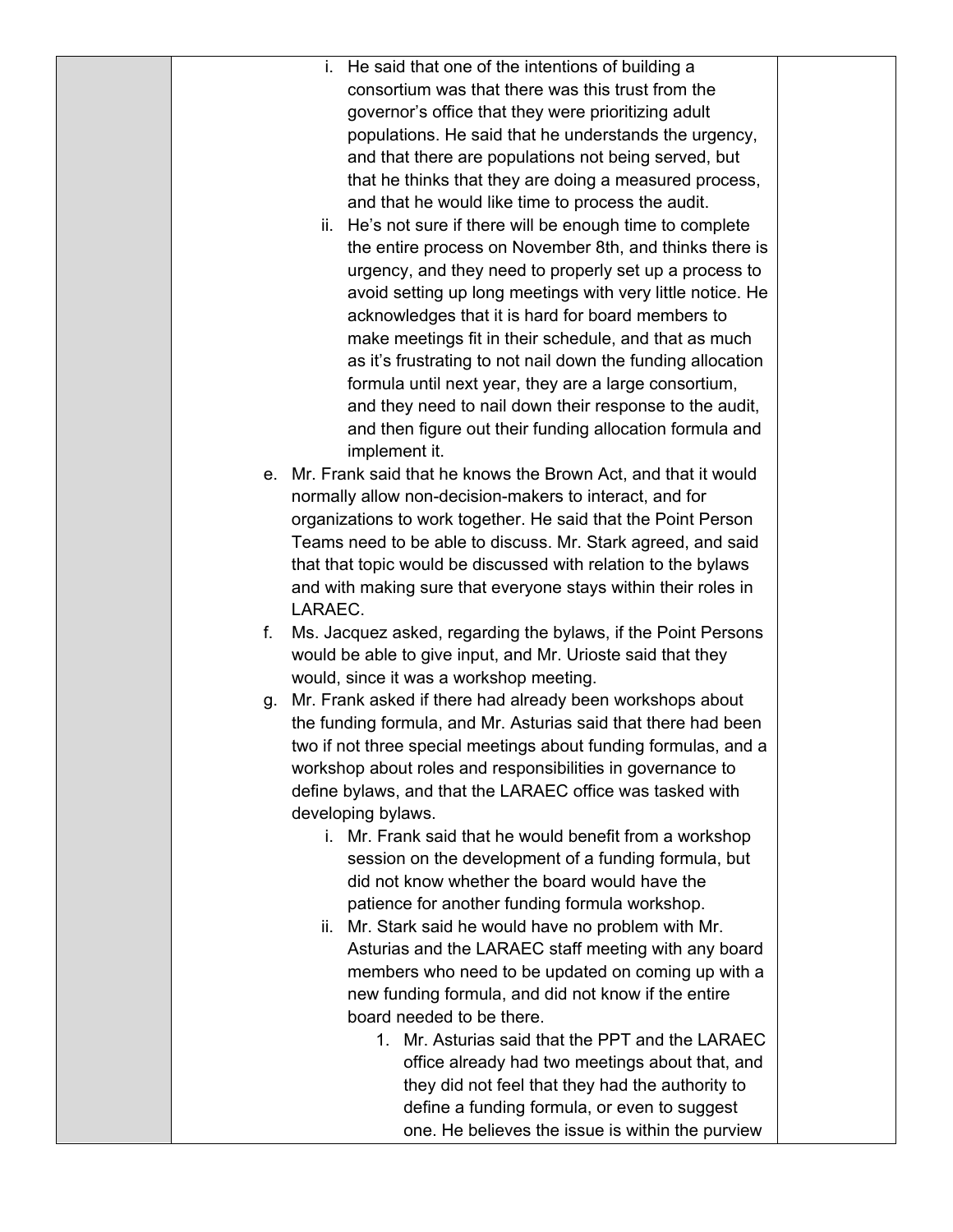|         | He said that one of the intentions of building a<br>ı.          |  |  |  |  |  |  |
|---------|-----------------------------------------------------------------|--|--|--|--|--|--|
|         | consortium was that there was this trust from the               |  |  |  |  |  |  |
|         | governor's office that they were prioritizing adult             |  |  |  |  |  |  |
|         | populations. He said that he understands the urgency,           |  |  |  |  |  |  |
|         | and that there are populations not being served, but            |  |  |  |  |  |  |
|         | that he thinks that they are doing a measured process,          |  |  |  |  |  |  |
|         | and that he would like time to process the audit.               |  |  |  |  |  |  |
|         | ii. He's not sure if there will be enough time to complete      |  |  |  |  |  |  |
|         | the entire process on November 8th, and thinks there is         |  |  |  |  |  |  |
|         | urgency, and they need to properly set up a process to          |  |  |  |  |  |  |
|         |                                                                 |  |  |  |  |  |  |
|         | avoid setting up long meetings with very little notice. He      |  |  |  |  |  |  |
|         | acknowledges that it is hard for board members to               |  |  |  |  |  |  |
|         | make meetings fit in their schedule, and that as much           |  |  |  |  |  |  |
|         | as it's frustrating to not nail down the funding allocation     |  |  |  |  |  |  |
|         | formula until next year, they are a large consortium,           |  |  |  |  |  |  |
|         | and they need to nail down their response to the audit,         |  |  |  |  |  |  |
|         | and then figure out their funding allocation formula and        |  |  |  |  |  |  |
|         | implement it.                                                   |  |  |  |  |  |  |
| е.      | Mr. Frank said that he knows the Brown Act, and that it would   |  |  |  |  |  |  |
|         | normally allow non-decision-makers to interact, and for         |  |  |  |  |  |  |
|         | organizations to work together. He said that the Point Person   |  |  |  |  |  |  |
|         | Teams need to be able to discuss. Mr. Stark agreed, and said    |  |  |  |  |  |  |
|         | that that topic would be discussed with relation to the bylaws  |  |  |  |  |  |  |
|         | and with making sure that everyone stays within their roles in  |  |  |  |  |  |  |
| LARAEC. |                                                                 |  |  |  |  |  |  |
| f.      | Ms. Jacquez asked, regarding the bylaws, if the Point Persons   |  |  |  |  |  |  |
|         | would be able to give input, and Mr. Urioste said that they     |  |  |  |  |  |  |
|         | would, since it was a workshop meeting.                         |  |  |  |  |  |  |
| g.      | Mr. Frank asked if there had already been workshops about       |  |  |  |  |  |  |
|         | the funding formula, and Mr. Asturias said that there had been  |  |  |  |  |  |  |
|         | two if not three special meetings about funding formulas, and a |  |  |  |  |  |  |
|         | workshop about roles and responsibilities in governance to      |  |  |  |  |  |  |
|         | define bylaws, and that the LARAEC office was tasked with       |  |  |  |  |  |  |
|         | developing bylaws.                                              |  |  |  |  |  |  |
|         | Mr. Frank said that he would benefit from a workshop<br>i.      |  |  |  |  |  |  |
|         | session on the development of a funding formula, but            |  |  |  |  |  |  |
|         | did not know whether the board would have the                   |  |  |  |  |  |  |
|         | patience for another funding formula workshop.                  |  |  |  |  |  |  |
|         | Mr. Stark said he would have no problem with Mr.<br>ii.         |  |  |  |  |  |  |
|         | Asturias and the LARAEC staff meeting with any board            |  |  |  |  |  |  |
|         | members who need to be updated on coming up with a              |  |  |  |  |  |  |
|         |                                                                 |  |  |  |  |  |  |
|         | new funding formula, and did not know if the entire             |  |  |  |  |  |  |
|         | board needed to be there.                                       |  |  |  |  |  |  |
|         | 1. Mr. Asturias said that the PPT and the LARAEC                |  |  |  |  |  |  |
|         | office already had two meetings about that, and                 |  |  |  |  |  |  |
|         | they did not feel that they had the authority to                |  |  |  |  |  |  |
|         | define a funding formula, or even to suggest                    |  |  |  |  |  |  |
|         | one. He believes the issue is within the purview                |  |  |  |  |  |  |
|         |                                                                 |  |  |  |  |  |  |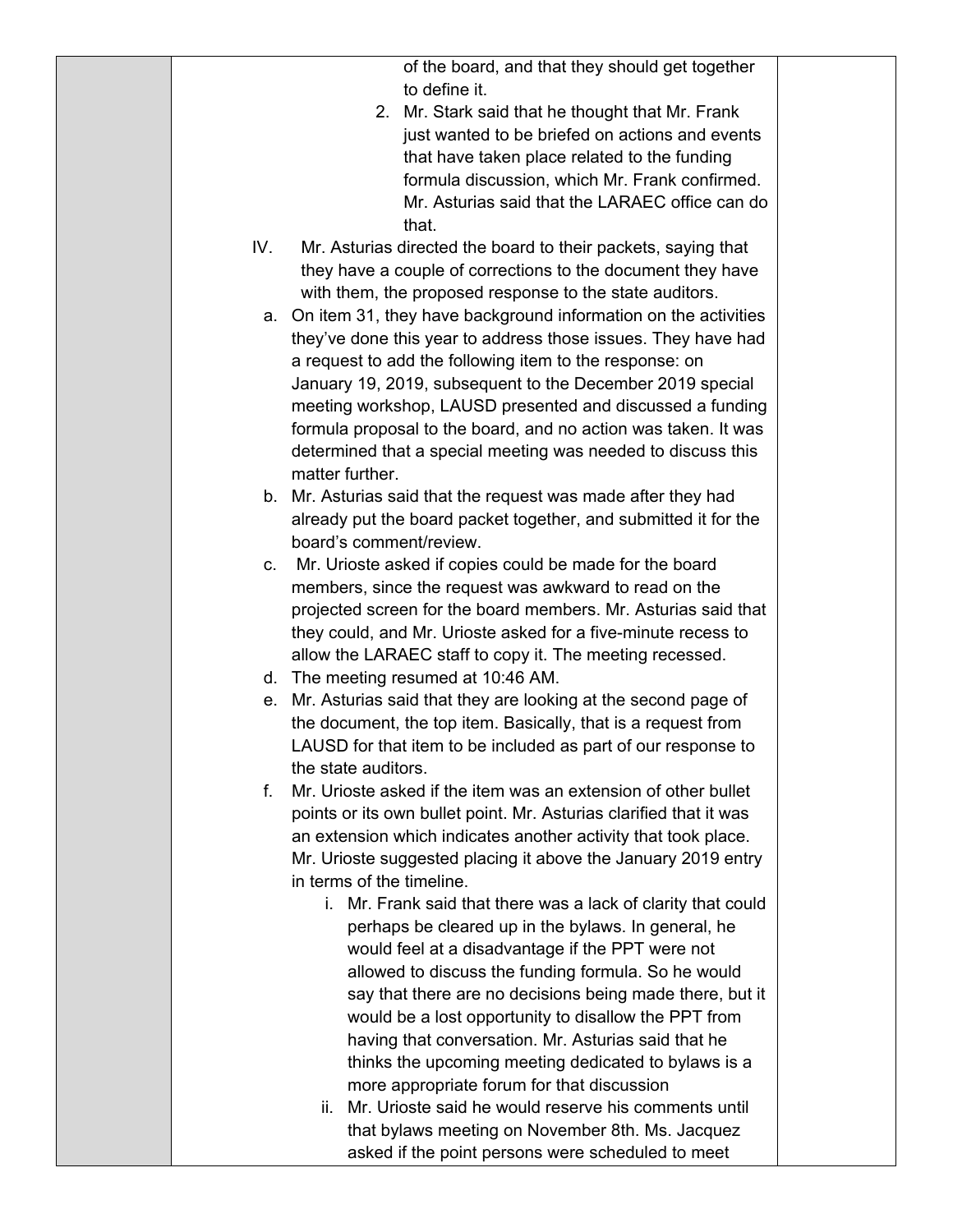of the board, and that they should get together to define it.

- 2. Mr. Stark said that he thought that Mr. Frank just wanted to be briefed on actions and events that have taken place related to the funding formula discussion, which Mr. Frank confirmed. Mr. Asturias said that the LARAEC office can do that.
- IV. Mr. Asturias directed the board to their packets, saying that they have a couple of corrections to the document they have with them, the proposed response to the state auditors.
	- a. On item 31, they have background information on the activities they've done this year to address those issues. They have had a request to add the following item to the response: on January 19, 2019, subsequent to the December 2019 special meeting workshop, LAUSD presented and discussed a funding formula proposal to the board, and no action was taken. It was determined that a special meeting was needed to discuss this matter further.
	- b. Mr. Asturias said that the request was made after they had already put the board packet together, and submitted it for the board's comment/review.
	- c. Mr. Urioste asked if copies could be made for the board members, since the request was awkward to read on the projected screen for the board members. Mr. Asturias said that they could, and Mr. Urioste asked for a five-minute recess to allow the LARAEC staff to copy it. The meeting recessed.
	- d. The meeting resumed at 10:46 AM.
	- e. Mr. Asturias said that they are looking at the second page of the document, the top item. Basically, that is a request from LAUSD for that item to be included as part of our response to the state auditors.
	- f. Mr. Urioste asked if the item was an extension of other bullet points or its own bullet point. Mr. Asturias clarified that it was an extension which indicates another activity that took place. Mr. Urioste suggested placing it above the January 2019 entry in terms of the timeline.
		- i. Mr. Frank said that there was a lack of clarity that could perhaps be cleared up in the bylaws. In general, he would feel at a disadvantage if the PPT were not allowed to discuss the funding formula. So he would say that there are no decisions being made there, but it would be a lost opportunity to disallow the PPT from having that conversation. Mr. Asturias said that he thinks the upcoming meeting dedicated to bylaws is a more appropriate forum for that discussion
		- ii. Mr. Urioste said he would reserve his comments until that bylaws meeting on November 8th. Ms. Jacquez asked if the point persons were scheduled to meet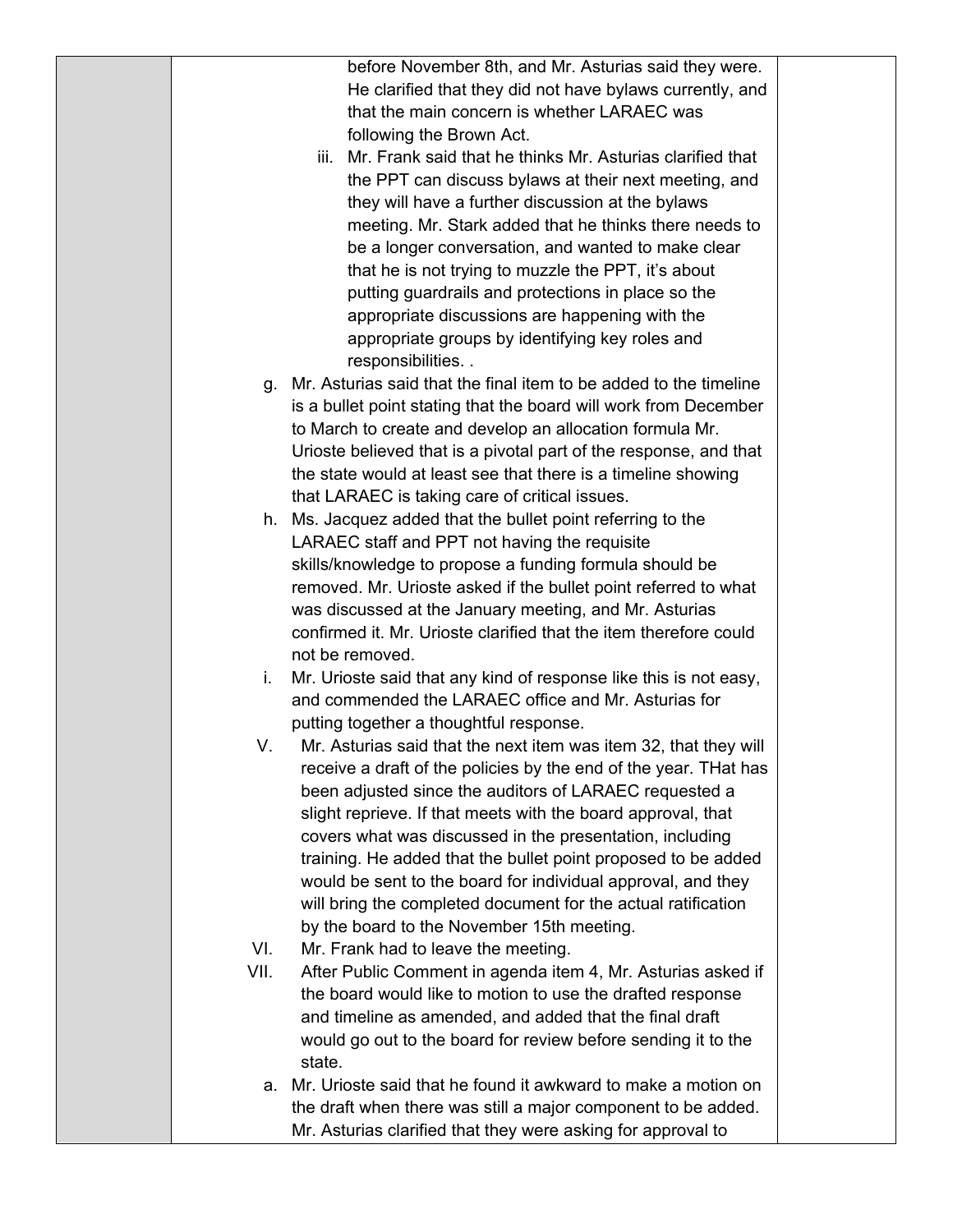before November 8th, and Mr. Asturias said they were. He clarified that they did not have bylaws currently, and that the main concern is whether LARAEC was following the Brown Act.

- iii. Mr. Frank said that he thinks Mr. Asturias clarified that the PPT can discuss bylaws at their next meeting, and they will have a further discussion at the bylaws meeting. Mr. Stark added that he thinks there needs to be a longer conversation, and wanted to make clear that he is not trying to muzzle the PPT, it's about putting guardrails and protections in place so the appropriate discussions are happening with the appropriate groups by identifying key roles and responsibilities. .
- g. Mr. Asturias said that the final item to be added to the timeline is a bullet point stating that the board will work from December to March to create and develop an allocation formula Mr. Urioste believed that is a pivotal part of the response, and that the state would at least see that there is a timeline showing that LARAEC is taking care of critical issues.
- h. Ms. Jacquez added that the bullet point referring to the LARAEC staff and PPT not having the requisite skills/knowledge to propose a funding formula should be removed. Mr. Urioste asked if the bullet point referred to what was discussed at the January meeting, and Mr. Asturias confirmed it. Mr. Urioste clarified that the item therefore could not be removed.
- i. Mr. Urioste said that any kind of response like this is not easy, and commended the LARAEC office and Mr. Asturias for putting together a thoughtful response.
- V. Mr. Asturias said that the next item was item 32, that they will receive a draft of the policies by the end of the year. THat has been adjusted since the auditors of LARAEC requested a slight reprieve. If that meets with the board approval, that covers what was discussed in the presentation, including training. He added that the bullet point proposed to be added would be sent to the board for individual approval, and they will bring the completed document for the actual ratification by the board to the November 15th meeting.
- VI. Mr. Frank had to leave the meeting.
- VII. After Public Comment in agenda item 4, Mr. Asturias asked if the board would like to motion to use the drafted response and timeline as amended, and added that the final draft would go out to the board for review before sending it to the state.
	- a. Mr. Urioste said that he found it awkward to make a motion on the draft when there was still a major component to be added. Mr. Asturias clarified that they were asking for approval to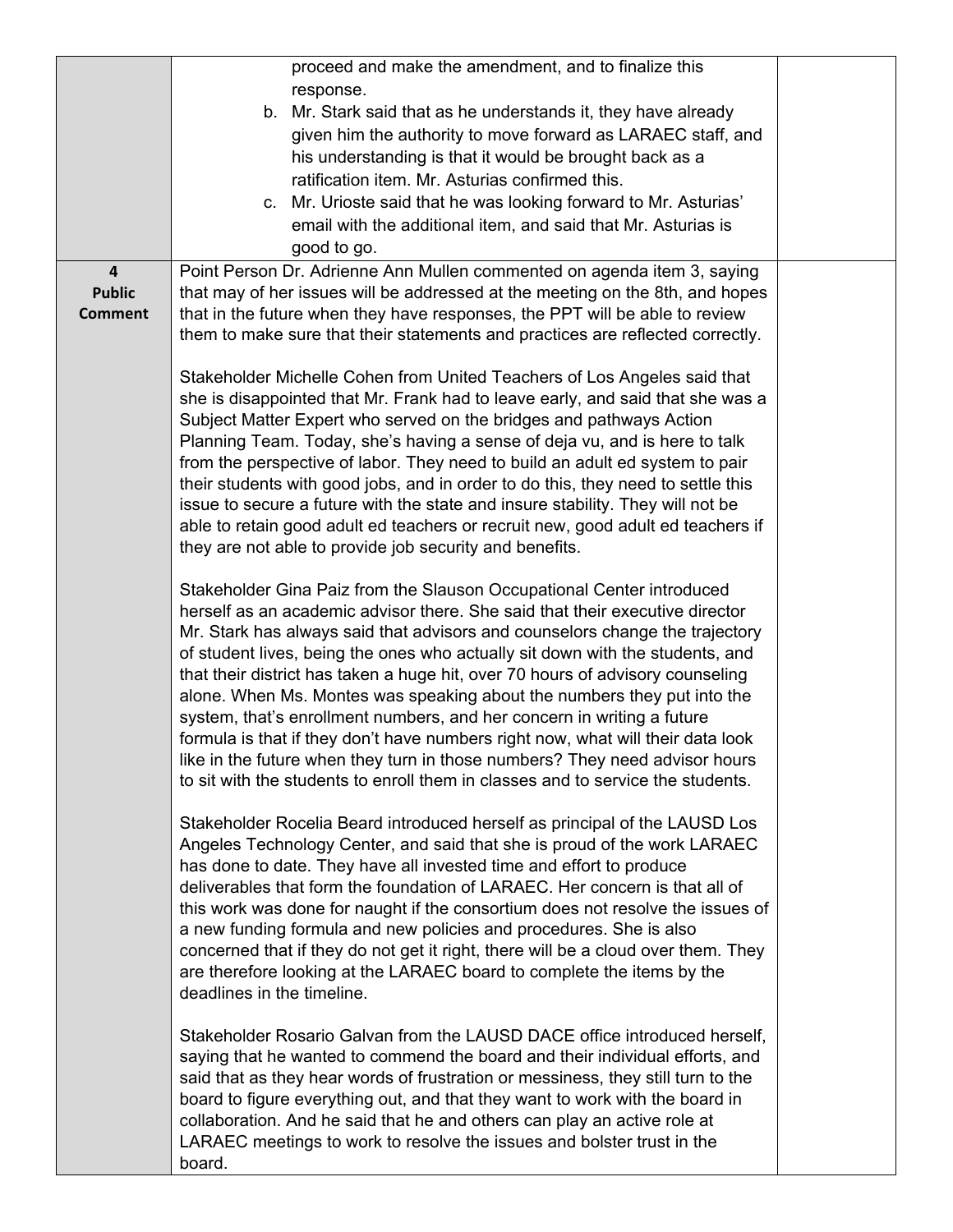|                                          | proceed and make the amendment, and to finalize this                              |  |
|------------------------------------------|-----------------------------------------------------------------------------------|--|
|                                          | response.                                                                         |  |
|                                          | b. Mr. Stark said that as he understands it, they have already                    |  |
|                                          | given him the authority to move forward as LARAEC staff, and                      |  |
|                                          | his understanding is that it would be brought back as a                           |  |
|                                          | ratification item. Mr. Asturias confirmed this.                                   |  |
|                                          | c. Mr. Urioste said that he was looking forward to Mr. Asturias'                  |  |
|                                          | email with the additional item, and said that Mr. Asturias is                     |  |
|                                          | good to go.                                                                       |  |
|                                          | Point Person Dr. Adrienne Ann Mullen commented on agenda item 3, saying           |  |
| $\overline{\mathbf{4}}$<br><b>Public</b> | that may of her issues will be addressed at the meeting on the 8th, and hopes     |  |
| <b>Comment</b>                           | that in the future when they have responses, the PPT will be able to review       |  |
|                                          | them to make sure that their statements and practices are reflected correctly.    |  |
|                                          |                                                                                   |  |
|                                          | Stakeholder Michelle Cohen from United Teachers of Los Angeles said that          |  |
|                                          | she is disappointed that Mr. Frank had to leave early, and said that she was a    |  |
|                                          | Subject Matter Expert who served on the bridges and pathways Action               |  |
|                                          | Planning Team. Today, she's having a sense of deja vu, and is here to talk        |  |
|                                          | from the perspective of labor. They need to build an adult ed system to pair      |  |
|                                          | their students with good jobs, and in order to do this, they need to settle this  |  |
|                                          | issue to secure a future with the state and insure stability. They will not be    |  |
|                                          | able to retain good adult ed teachers or recruit new, good adult ed teachers if   |  |
|                                          | they are not able to provide job security and benefits.                           |  |
|                                          |                                                                                   |  |
|                                          | Stakeholder Gina Paiz from the Slauson Occupational Center introduced             |  |
|                                          | herself as an academic advisor there. She said that their executive director      |  |
|                                          | Mr. Stark has always said that advisors and counselors change the trajectory      |  |
|                                          | of student lives, being the ones who actually sit down with the students, and     |  |
|                                          | that their district has taken a huge hit, over 70 hours of advisory counseling    |  |
|                                          | alone. When Ms. Montes was speaking about the numbers they put into the           |  |
|                                          | system, that's enrollment numbers, and her concern in writing a future            |  |
|                                          | formula is that if they don't have numbers right now, what will their data look   |  |
|                                          | like in the future when they turn in those numbers? They need advisor hours       |  |
|                                          | to sit with the students to enroll them in classes and to service the students.   |  |
|                                          |                                                                                   |  |
|                                          | Stakeholder Rocelia Beard introduced herself as principal of the LAUSD Los        |  |
|                                          | Angeles Technology Center, and said that she is proud of the work LARAEC          |  |
|                                          | has done to date. They have all invested time and effort to produce               |  |
|                                          | deliverables that form the foundation of LARAEC. Her concern is that all of       |  |
|                                          | this work was done for naught if the consortium does not resolve the issues of    |  |
|                                          | a new funding formula and new policies and procedures. She is also                |  |
|                                          | concerned that if they do not get it right, there will be a cloud over them. They |  |
|                                          | are therefore looking at the LARAEC board to complete the items by the            |  |
|                                          | deadlines in the timeline.                                                        |  |
|                                          |                                                                                   |  |
|                                          | Stakeholder Rosario Galvan from the LAUSD DACE office introduced herself,         |  |
|                                          | saying that he wanted to commend the board and their individual efforts, and      |  |
|                                          | said that as they hear words of frustration or messiness, they still turn to the  |  |
|                                          | board to figure everything out, and that they want to work with the board in      |  |
|                                          | collaboration. And he said that he and others can play an active role at          |  |
|                                          | LARAEC meetings to work to resolve the issues and bolster trust in the            |  |
|                                          | board.                                                                            |  |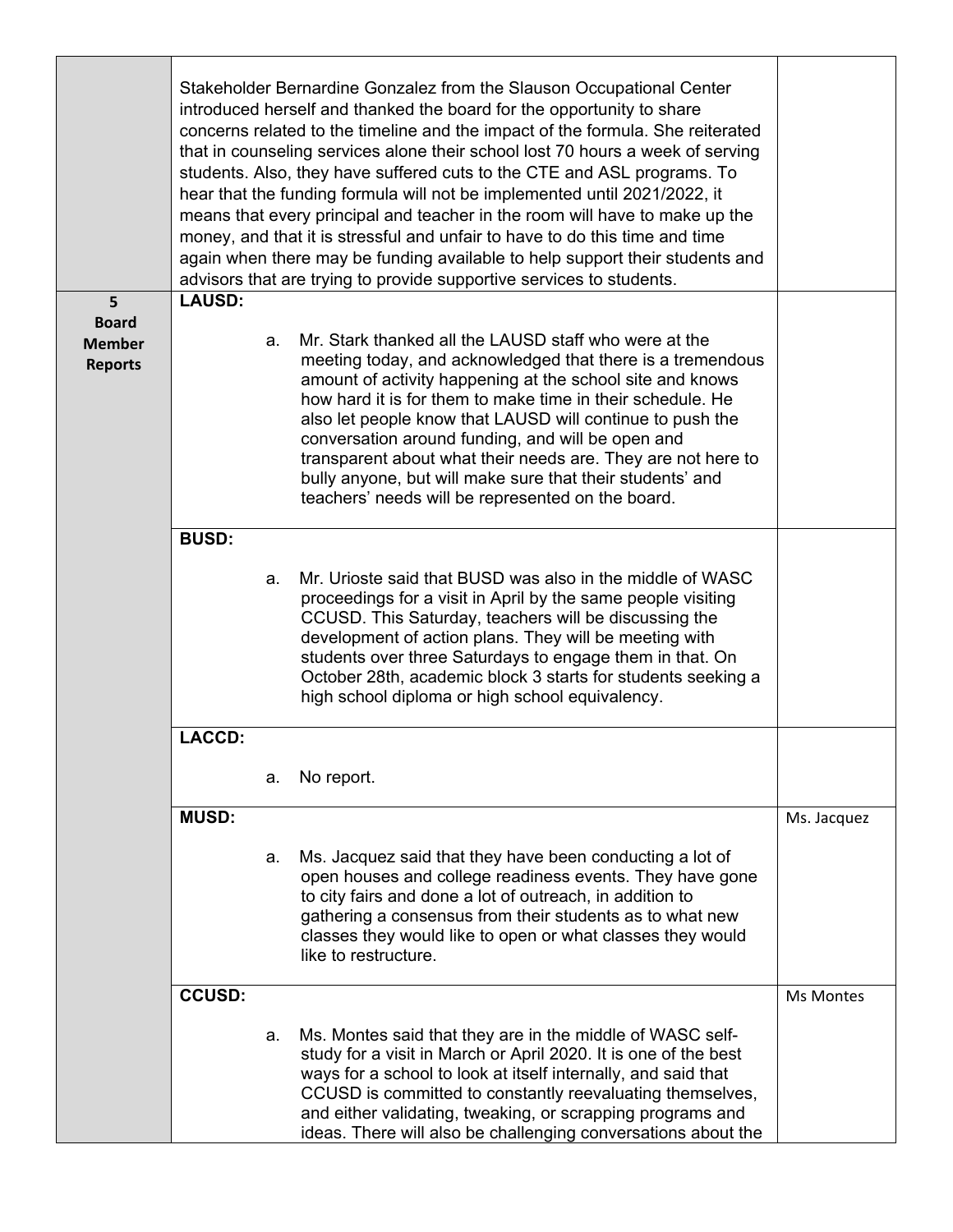|                                 | Stakeholder Bernardine Gonzalez from the Slauson Occupational Center<br>introduced herself and thanked the board for the opportunity to share<br>concerns related to the timeline and the impact of the formula. She reiterated<br>that in counseling services alone their school lost 70 hours a week of serving<br>students. Also, they have suffered cuts to the CTE and ASL programs. To<br>hear that the funding formula will not be implemented until 2021/2022, it<br>means that every principal and teacher in the room will have to make up the<br>money, and that it is stressful and unfair to have to do this time and time<br>again when there may be funding available to help support their students and<br>advisors that are trying to provide supportive services to students. |    |                                                                                                                                                                                                                                                                                                                                                                                                                                                                                                                                                    |                  |  |
|---------------------------------|-------------------------------------------------------------------------------------------------------------------------------------------------------------------------------------------------------------------------------------------------------------------------------------------------------------------------------------------------------------------------------------------------------------------------------------------------------------------------------------------------------------------------------------------------------------------------------------------------------------------------------------------------------------------------------------------------------------------------------------------------------------------------------------------------|----|----------------------------------------------------------------------------------------------------------------------------------------------------------------------------------------------------------------------------------------------------------------------------------------------------------------------------------------------------------------------------------------------------------------------------------------------------------------------------------------------------------------------------------------------------|------------------|--|
| 5                               | <b>LAUSD:</b>                                                                                                                                                                                                                                                                                                                                                                                                                                                                                                                                                                                                                                                                                                                                                                                   |    |                                                                                                                                                                                                                                                                                                                                                                                                                                                                                                                                                    |                  |  |
| <b>Board</b>                    |                                                                                                                                                                                                                                                                                                                                                                                                                                                                                                                                                                                                                                                                                                                                                                                                 |    |                                                                                                                                                                                                                                                                                                                                                                                                                                                                                                                                                    |                  |  |
| <b>Member</b><br><b>Reports</b> |                                                                                                                                                                                                                                                                                                                                                                                                                                                                                                                                                                                                                                                                                                                                                                                                 | a. | Mr. Stark thanked all the LAUSD staff who were at the<br>meeting today, and acknowledged that there is a tremendous<br>amount of activity happening at the school site and knows<br>how hard it is for them to make time in their schedule. He<br>also let people know that LAUSD will continue to push the<br>conversation around funding, and will be open and<br>transparent about what their needs are. They are not here to<br>bully anyone, but will make sure that their students' and<br>teachers' needs will be represented on the board. |                  |  |
|                                 | <b>BUSD:</b>                                                                                                                                                                                                                                                                                                                                                                                                                                                                                                                                                                                                                                                                                                                                                                                    |    |                                                                                                                                                                                                                                                                                                                                                                                                                                                                                                                                                    |                  |  |
|                                 |                                                                                                                                                                                                                                                                                                                                                                                                                                                                                                                                                                                                                                                                                                                                                                                                 |    |                                                                                                                                                                                                                                                                                                                                                                                                                                                                                                                                                    |                  |  |
|                                 |                                                                                                                                                                                                                                                                                                                                                                                                                                                                                                                                                                                                                                                                                                                                                                                                 | a. | Mr. Urioste said that BUSD was also in the middle of WASC<br>proceedings for a visit in April by the same people visiting<br>CCUSD. This Saturday, teachers will be discussing the<br>development of action plans. They will be meeting with<br>students over three Saturdays to engage them in that. On<br>October 28th, academic block 3 starts for students seeking a<br>high school diploma or high school equivalency.                                                                                                                        |                  |  |
|                                 | <b>LACCD:</b>                                                                                                                                                                                                                                                                                                                                                                                                                                                                                                                                                                                                                                                                                                                                                                                   |    |                                                                                                                                                                                                                                                                                                                                                                                                                                                                                                                                                    |                  |  |
|                                 |                                                                                                                                                                                                                                                                                                                                                                                                                                                                                                                                                                                                                                                                                                                                                                                                 |    |                                                                                                                                                                                                                                                                                                                                                                                                                                                                                                                                                    |                  |  |
|                                 |                                                                                                                                                                                                                                                                                                                                                                                                                                                                                                                                                                                                                                                                                                                                                                                                 | а. | No report.                                                                                                                                                                                                                                                                                                                                                                                                                                                                                                                                         |                  |  |
|                                 | <b>MUSD:</b>                                                                                                                                                                                                                                                                                                                                                                                                                                                                                                                                                                                                                                                                                                                                                                                    |    |                                                                                                                                                                                                                                                                                                                                                                                                                                                                                                                                                    | Ms. Jacquez      |  |
|                                 |                                                                                                                                                                                                                                                                                                                                                                                                                                                                                                                                                                                                                                                                                                                                                                                                 |    |                                                                                                                                                                                                                                                                                                                                                                                                                                                                                                                                                    |                  |  |
|                                 |                                                                                                                                                                                                                                                                                                                                                                                                                                                                                                                                                                                                                                                                                                                                                                                                 | а. | Ms. Jacquez said that they have been conducting a lot of<br>open houses and college readiness events. They have gone<br>to city fairs and done a lot of outreach, in addition to<br>gathering a consensus from their students as to what new<br>classes they would like to open or what classes they would<br>like to restructure.                                                                                                                                                                                                                 |                  |  |
|                                 | <b>CCUSD:</b>                                                                                                                                                                                                                                                                                                                                                                                                                                                                                                                                                                                                                                                                                                                                                                                   |    |                                                                                                                                                                                                                                                                                                                                                                                                                                                                                                                                                    | <b>Ms Montes</b> |  |
|                                 |                                                                                                                                                                                                                                                                                                                                                                                                                                                                                                                                                                                                                                                                                                                                                                                                 | а. | Ms. Montes said that they are in the middle of WASC self-<br>study for a visit in March or April 2020. It is one of the best<br>ways for a school to look at itself internally, and said that<br>CCUSD is committed to constantly reevaluating themselves,<br>and either validating, tweaking, or scrapping programs and<br>ideas. There will also be challenging conversations about the                                                                                                                                                          |                  |  |